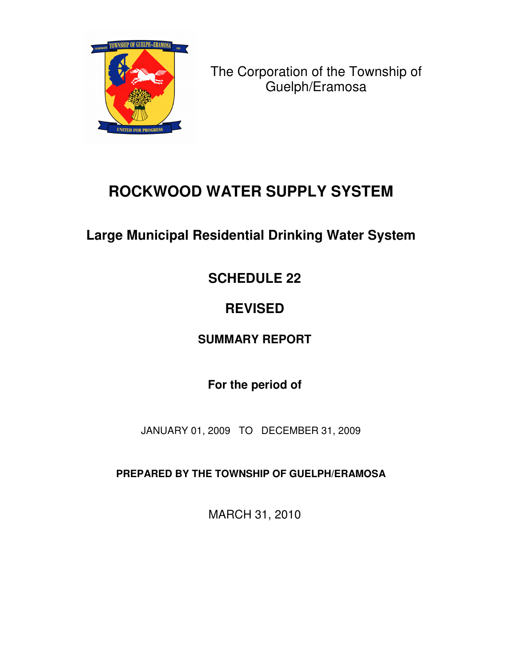

The Corporation of the Township of Guelph/Eramosa

# **ROCKWOOD WATER SUPPLY SYSTEM**

## **Large Municipal Residential Drinking Water System**

## **SCHEDULE 22**

## **REVISED**

### **SUMMARY REPORT**

### **For the period of**

JANUARY 01, 2009 TO DECEMBER 31, 2009

**PREPARED BY THE TOWNSHIP OF GUELPH/ERAMOSA**

MARCH 31, 2010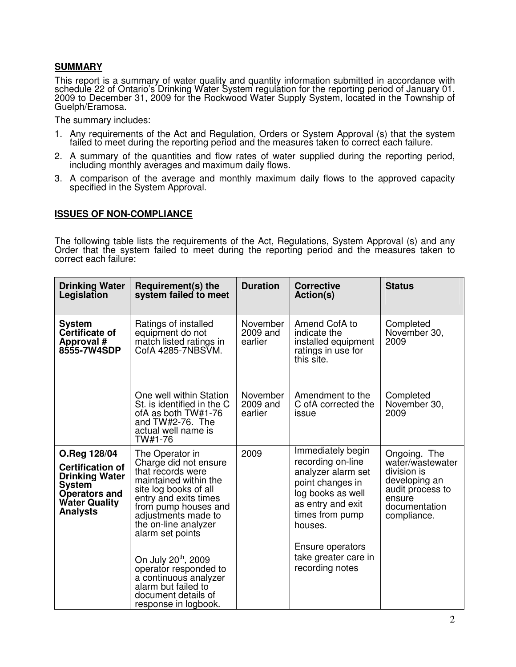#### **SUMMARY**

This report is a summary of water quality and quantity information submitted in accordance with schedule 22 of Ontario's Drinking Water System regulation for the reporting period of January 01, 2009 to December 31, 2009 for the Rockwood Water Supply System, located in the Township of Guelph/Eramosa.

The summary includes:

- 1. Any requirements of the Act and Regulation, Orders or System Approval (s) that the system failed to meet during the reporting period and the measures taken to correct each failure.
- 2. A summary of the quantities and flow rates of water supplied during the reporting period, including monthly averages and maximum daily flows.
- 3. A comparison of the average and monthly maximum daily flows to the approved capacity specified in the System Approval.

#### **ISSUES OF NON-COMPLIANCE**

The following table lists the requirements of the Act, Regulations, System Approval (s) and any Order that the system failed to meet during the reporting period and the measures taken to correct each failure:

| <b>Drinking Water</b><br>Legislation                                                                                                          | Requirement(s) the<br>system failed to meet                                                                                                                                                                                                 | <b>Duration</b>                 | <b>Corrective</b><br>Action(s)                                                                                                                           | <b>Status</b>                                                                                                                  |
|-----------------------------------------------------------------------------------------------------------------------------------------------|---------------------------------------------------------------------------------------------------------------------------------------------------------------------------------------------------------------------------------------------|---------------------------------|----------------------------------------------------------------------------------------------------------------------------------------------------------|--------------------------------------------------------------------------------------------------------------------------------|
| <b>System</b><br>Certificate of<br>Approval #<br><b>8555-7W4SDP</b>                                                                           | Amend CofA to<br><b>November</b><br>Ratings of installed<br>equipment do not<br>2009 and<br>indicate the<br>match listed ratings in<br>earlier<br>CofA 4285-7NBSVM.<br>ratings in use for<br>this site.                                     |                                 | installed equipment                                                                                                                                      | Completed<br>November 30,<br>2009                                                                                              |
|                                                                                                                                               | One well within Station<br>St. is identified in the C<br>ofA as both TW#1-76<br>and TW#2-76. The<br>actual well name is<br>TW#1-76                                                                                                          | November<br>2009 and<br>earlier | Amendment to the<br>C of A corrected the<br>issue                                                                                                        | Completed<br>November 30,<br>2009                                                                                              |
| O.Reg 128/04<br><b>Certification of</b><br><b>Drinking Water</b><br>System<br><b>Operators and</b><br><b>Water Quality</b><br><b>Analysts</b> | 2009<br>The Operator in<br>Charge did not ensure<br>that records were<br>maintained within the<br>site log books of all<br>entry and exits times<br>from pump houses and<br>adjustments made to<br>the on-line analyzer<br>alarm set points |                                 | Immediately begin<br>recording on-line<br>analyzer alarm set<br>point changes in<br>log books as well<br>as entry and exit<br>times from pump<br>houses. | Ongoing. The<br>water/wastewater<br>division is<br>developing an<br>audit process to<br>ensure<br>documentation<br>compliance. |
|                                                                                                                                               | On July 20 <sup>th</sup> , 2009<br>operator responded to<br>a continuous analyzer<br>alarm but failed to<br>document details of<br>response in logbook.                                                                                     |                                 | Ensure operators<br>take greater care in<br>recording notes                                                                                              |                                                                                                                                |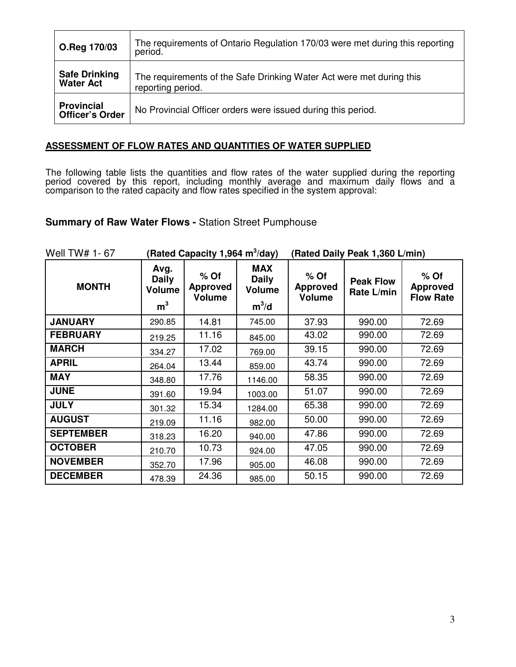| O.Reg 170/03                                | The requirements of Ontario Regulation 170/03 were met during this reporting<br>period.   |
|---------------------------------------------|-------------------------------------------------------------------------------------------|
| <b>Safe Drinking</b><br><b>Water Act</b>    | The requirements of the Safe Drinking Water Act were met during this<br>reporting period. |
| <b>Provincial</b><br><b>Officer's Order</b> | No Provincial Officer orders were issued during this period.                              |

#### **ASSESSMENT OF FLOW RATES AND QUANTITIES OF WATER SUPPLIED**

The following table lists the quantities and flow rates of the water supplied during the reporting period covered by this report, including monthly average and maximum daily flows and a comparison to the rated capacity and flow rates specified in the system approval:

#### **Summary of Raw Water Flows -** Station Street Pumphouse

| Well TW# 1-67    | (Rated Capacity 1,964 m <sup>3</sup> /day)              |                                            |                                                        | (Rated Daily Peak 1,360 L/min)             |                                |                                               |  |
|------------------|---------------------------------------------------------|--------------------------------------------|--------------------------------------------------------|--------------------------------------------|--------------------------------|-----------------------------------------------|--|
| <b>MONTH</b>     | Avg.<br><b>Daily</b><br><b>Volume</b><br>m <sup>3</sup> | $%$ Of<br><b>Approved</b><br><b>Volume</b> | <b>MAX</b><br><b>Daily</b><br><b>Volume</b><br>$m^3/d$ | $%$ Of<br><b>Approved</b><br><b>Volume</b> | <b>Peak Flow</b><br>Rate L/min | $%$ Of<br><b>Approved</b><br><b>Flow Rate</b> |  |
| <b>JANUARY</b>   | 290.85                                                  | 14.81                                      | 745.00                                                 | 37.93                                      | 990.00                         | 72.69                                         |  |
| <b>FEBRUARY</b>  | 219.25                                                  | 11.16                                      | 845.00                                                 | 43.02                                      | 990.00                         | 72.69                                         |  |
| <b>MARCH</b>     | 334.27                                                  | 17.02                                      | 769.00                                                 | 39.15                                      | 990.00                         | 72.69                                         |  |
| <b>APRIL</b>     | 264.04                                                  | 13.44                                      | 859.00                                                 | 43.74                                      | 990.00                         | 72.69                                         |  |
| <b>MAY</b>       | 348.80                                                  | 17.76                                      | 1146.00                                                | 58.35                                      | 990.00                         | 72.69                                         |  |
| <b>JUNE</b>      | 391.60                                                  | 19.94                                      | 1003.00                                                | 51.07                                      | 990.00                         | 72.69                                         |  |
| <b>JULY</b>      | 301.32                                                  | 15.34                                      | 1284.00                                                | 65.38                                      | 990.00                         | 72.69                                         |  |
| <b>AUGUST</b>    | 219.09                                                  | 11.16                                      | 982.00                                                 | 50.00                                      | 990.00                         | 72.69                                         |  |
| <b>SEPTEMBER</b> | 318.23                                                  | 16.20                                      | 940.00                                                 | 47.86                                      | 990.00                         | 72.69                                         |  |
| <b>OCTOBER</b>   | 210.70                                                  | 10.73                                      | 924.00                                                 | 47.05                                      | 990.00                         | 72.69                                         |  |
| <b>NOVEMBER</b>  | 352.70                                                  | 17.96                                      | 905.00                                                 | 46.08                                      | 990.00                         | 72.69                                         |  |
| <b>DECEMBER</b>  | 478.39                                                  | 24.36                                      | 985.00                                                 | 50.15                                      | 990.00                         | 72.69                                         |  |